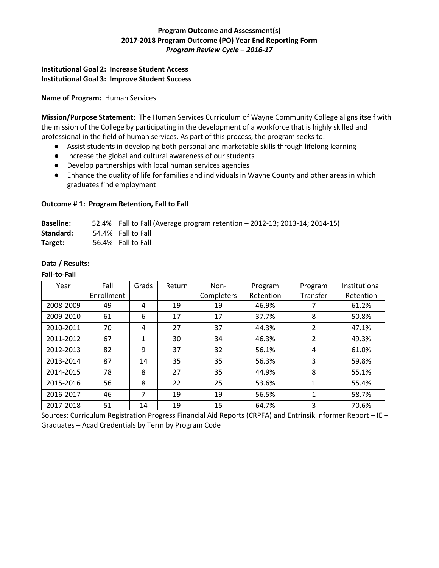# **Program Outcome and Assessment(s) 2017-2018 Program Outcome (PO) Year End Reporting Form** *Program Review Cycle – 2016-17*

## **Institutional Goal 2: Increase Student Access Institutional Goal 3: Improve Student Success**

**Name of Program:** Human Services

**Mission/Purpose Statement:** The Human Services Curriculum of Wayne Community College aligns itself with the mission of the College by participating in the development of a workforce that is highly skilled and professional in the field of human services. As part of this process, the program seeks to:

- Assist students in developing both personal and marketable skills through lifelong learning
- Increase the global and cultural awareness of our students
- Develop partnerships with local human services agencies
- Enhance the quality of life for families and individuals in Wayne County and other areas in which graduates find employment

### **Outcome # 1: Program Retention, Fall to Fall**

| <b>Baseline:</b> | 52.4% Fall to Fall (Average program retention - 2012-13; 2013-14; 2014-15) |
|------------------|----------------------------------------------------------------------------|
| Standard:        | 54.4% Fall to Fall                                                         |
| Target:          | 56.4% Fall to Fall                                                         |

### **Data / Results:**

#### **Fall-to-Fall**

| Year      | Fall       | Grads | Return | Non-       | Program   | Program      | Institutional |
|-----------|------------|-------|--------|------------|-----------|--------------|---------------|
|           | Enrollment |       |        | Completers | Retention | Transfer     | Retention     |
| 2008-2009 | 49         | 4     | 19     | 19         | 46.9%     |              | 61.2%         |
| 2009-2010 | 61         | 6     | 17     | 17         | 37.7%     | 8            | 50.8%         |
| 2010-2011 | 70         | 4     | 27     | 37         | 44.3%     | 2            | 47.1%         |
| 2011-2012 | 67         | 1     | 30     | 34         | 46.3%     | 2            | 49.3%         |
| 2012-2013 | 82         | 9     | 37     | 32         | 56.1%     | 4            | 61.0%         |
| 2013-2014 | 87         | 14    | 35     | 35         | 56.3%     | 3            | 59.8%         |
| 2014-2015 | 78         | 8     | 27     | 35         | 44.9%     | 8            | 55.1%         |
| 2015-2016 | 56         | 8     | 22     | 25         | 53.6%     | $\mathbf{1}$ | 55.4%         |
| 2016-2017 | 46         | 7     | 19     | 19         | 56.5%     | 1            | 58.7%         |
| 2017-2018 | 51         | 14    | 19     | 15         | 64.7%     | 3            | 70.6%         |

Sources: Curriculum Registration Progress Financial Aid Reports (CRPFA) and Entrinsik Informer Report – IE – Graduates – Acad Credentials by Term by Program Code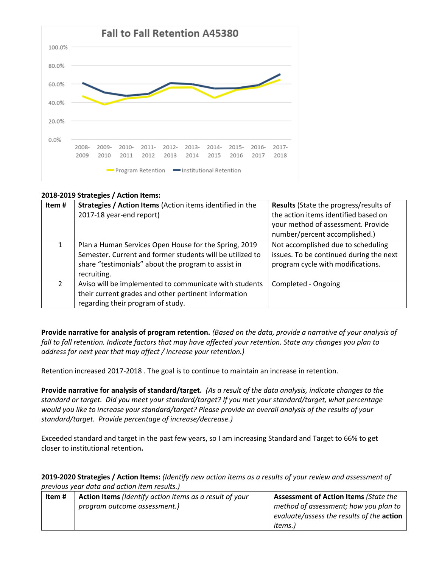

### **2018-2019 Strategies / Action Items:**

| Item# | Strategies / Action Items (Action items identified in the<br>2017-18 year-end report)                                                                                                    | <b>Results</b> (State the progress/results of<br>the action items identified based on<br>your method of assessment. Provide<br>number/percent accomplished.) |
|-------|------------------------------------------------------------------------------------------------------------------------------------------------------------------------------------------|--------------------------------------------------------------------------------------------------------------------------------------------------------------|
|       | Plan a Human Services Open House for the Spring, 2019<br>Semester. Current and former students will be utilized to<br>share "testimonials" about the program to assist in<br>recruiting. | Not accomplished due to scheduling<br>issues. To be continued during the next<br>program cycle with modifications.                                           |
|       | Aviso will be implemented to communicate with students<br>their current grades and other pertinent information<br>regarding their program of study.                                      | Completed - Ongoing                                                                                                                                          |

**Provide narrative for analysis of program retention.** *(Based on the data, provide a narrative of your analysis of fall to fall retention. Indicate factors that may have affected your retention. State any changes you plan to address for next year that may affect / increase your retention.)* 

Retention increased 2017-2018 . The goal is to continue to maintain an increase in retention.

**Provide narrative for analysis of standard/target.** *(As a result of the data analysis, indicate changes to the standard or target. Did you meet your standard/target? If you met your standard/target, what percentage would you like to increase your standard/target? Please provide an overall analysis of the results of your standard/target. Provide percentage of increase/decrease.)* 

Exceeded standard and target in the past few years, so I am increasing Standard and Target to 66% to get closer to institutional retention**.** 

**2019-2020 Strategies / Action Items:** *(Identify new action items as a results of your review and assessment of previous year data and action item results.)* 

| Item # | Action Items (Identify action items as a result of your | <b>Assessment of Action Items (State the</b> |
|--------|---------------------------------------------------------|----------------------------------------------|
|        | program outcome assessment.)                            | method of assessment; how you plan to        |
|        |                                                         | evaluate/assess the results of the action    |
|        |                                                         | items.)                                      |